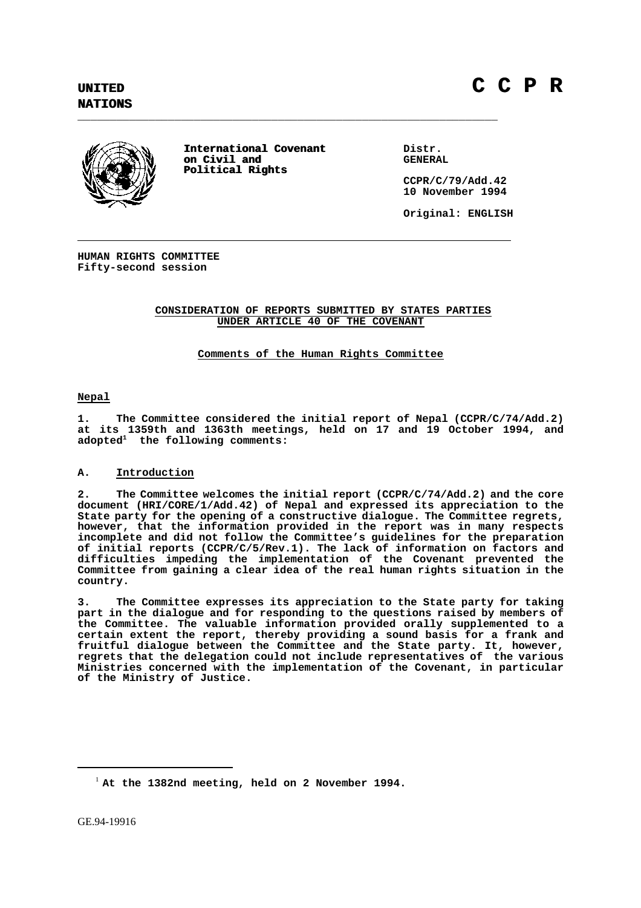**NATIONS**



**International Covenant International Covenant Distr.**<br> **ORIGINERAL on Civil and Political Rights Political Rights**

**\_\_\_\_\_\_\_\_\_\_\_\_\_\_\_\_\_\_\_\_\_\_\_\_\_\_\_\_\_\_\_\_\_\_\_\_\_\_\_\_\_\_\_\_\_\_\_\_\_\_\_\_\_\_\_\_\_\_\_\_\_\_\_\_\_**

**CCPR/C/79/Add.42 10 November 1994**

**Original: ENGLISH**

**HUMAN RIGHTS COMMITTEE Fifty-second session**

# **CONSIDERATION OF REPORTS SUBMITTED BY STATES PARTIES UNDER ARTICLE 40 OF THE COVENANT**

**Comments of the Human Rights Committee**

**Nepal**

**1. The Committee considered the initial report of Nepal (CCPR/C/74/Add.2) at its 1359th and 1363th meetings, held on 17 and 19 October 1994, and adopted1 the following comments:**

# **A. Introduction**

**2. The Committee welcomes the initial report (CCPR/C/74/Add.2) and the core document (HRI/CORE/1/Add.42) of Nepal and expressed its appreciation to the State party for the opening of a constructive dialogue. The Committee regrets, however, that the information provided in the report was in many respects incomplete and did not follow the Committee's guidelines for the preparation of initial reports (CCPR/C/5/Rev.1). The lack of information on factors and difficulties impeding the implementation of the Covenant prevented the Committee from gaining a clear idea of the real human rights situation in the country.**

**3. The Committee expresses its appreciation to the State party for taking part in the dialogue and for responding to the questions raised by members of the Committee. The valuable information provided orally supplemented to a certain extent the report, thereby providing a sound basis for a frank and fruitful dialogue between the Committee and the State party. It, however, regrets that the delegation could not include representatives of the various Ministries concerned with the implementation of the Covenant, in particular of the Ministry of Justice.**

<sup>1</sup> **At the 1382nd meeting, held on 2 November 1994.**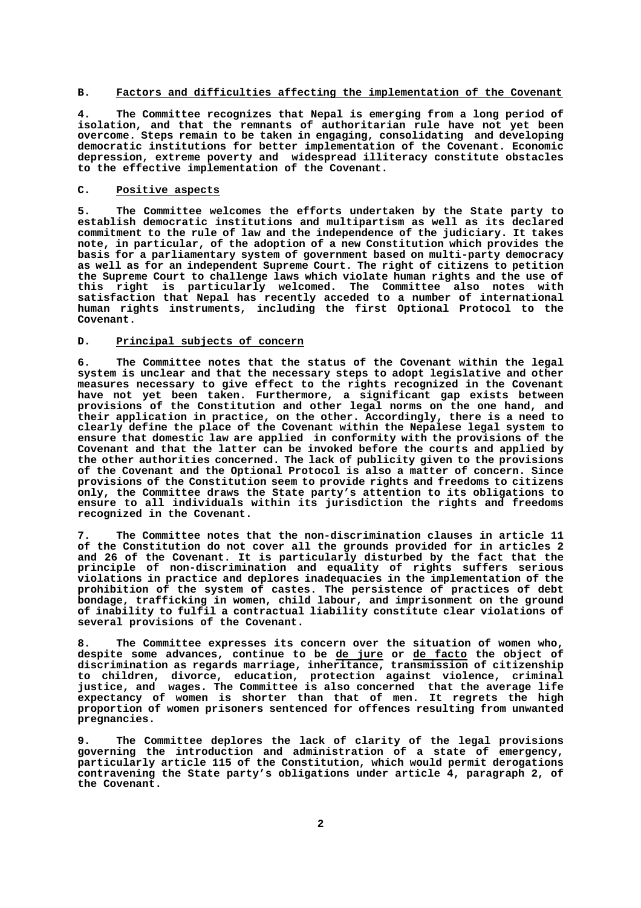# **B. Factors and difficulties affecting the implementation of the Covenant**

**4. The Committee recognizes that Nepal is emerging from a long period of isolation, and that the remnants of authoritarian rule have not yet been overcome. Steps remain to be taken in engaging, consolidating and developing democratic institutions for better implementation of the Covenant. Economic depression, extreme poverty and widespread illiteracy constitute obstacles to the effective implementation of the Covenant.**

### **C. Positive aspects**

**5. The Committee welcomes the efforts undertaken by the State party to establish democratic institutions and multipartism as well as its declared commitment to the rule of law and the independence of the judiciary. It takes note, in particular, of the adoption of a new Constitution which provides the basis for a parliamentary system of government based on multi-party democracy as well as for an independent Supreme Court. The right of citizens to petition the Supreme Court to challenge laws which violate human rights and the use of this right is particularly welcomed. The Committee also notes with satisfaction that Nepal has recently acceded to a number of international human rights instruments, including the first Optional Protocol to the Covenant.**

#### **D. Principal subjects of concern**

**6. The Committee notes that the status of the Covenant within the legal system is unclear and that the necessary steps to adopt legislative and other measures necessary to give effect to the rights recognized in the Covenant have not yet been taken. Furthermore, a significant gap exists between provisions of the Constitution and other legal norms on the one hand, and their application in practice, on the other. Accordingly, there is a need to clearly define the place of the Covenant within the Nepalese legal system to ensure that domestic law are applied in conformity with the provisions of the Covenant and that the latter can be invoked before the courts and applied by the other authorities concerned. The lack of publicity given to the provisions of the Covenant and the Optional Protocol is also a matter of concern. Since provisions of the Constitution seem to provide rights and freedoms to citizens only, the Committee draws the State party's attention to its obligations to ensure to all individuals within its jurisdiction the rights and freedoms recognized in the Covenant.**

**7. The Committee notes that the non-discrimination clauses in article 11 of the Constitution do not cover all the grounds provided for in articles 2 and 26 of the Covenant. It is particularly disturbed by the fact that the principle of non-discrimination and equality of rights suffers serious violations in practice and deplores inadequacies in the implementation of the prohibition of the system of castes. The persistence of practices of debt bondage, trafficking in women, child labour, and imprisonment on the ground of inability to fulfil a contractual liability constitute clear violations of several provisions of the Covenant.**

**8. The Committee expresses its concern over the situation of women who, despite some advances, continue to be de jure or de facto the object of discrimination as regards marriage, inheritance, transmission of citizenship to children, divorce, education, protection against violence, criminal justice, and wages. The Committee is also concerned that the average life expectancy of women is shorter than that of men. It regrets the high proportion of women prisoners sentenced for offences resulting from unwanted pregnancies.**

**9. The Committee deplores the lack of clarity of the legal provisions governing the introduction and administration of a state of emergency, particularly article 115 of the Constitution, which would permit derogations contravening the State party's obligations under article 4, paragraph 2, of the Covenant.**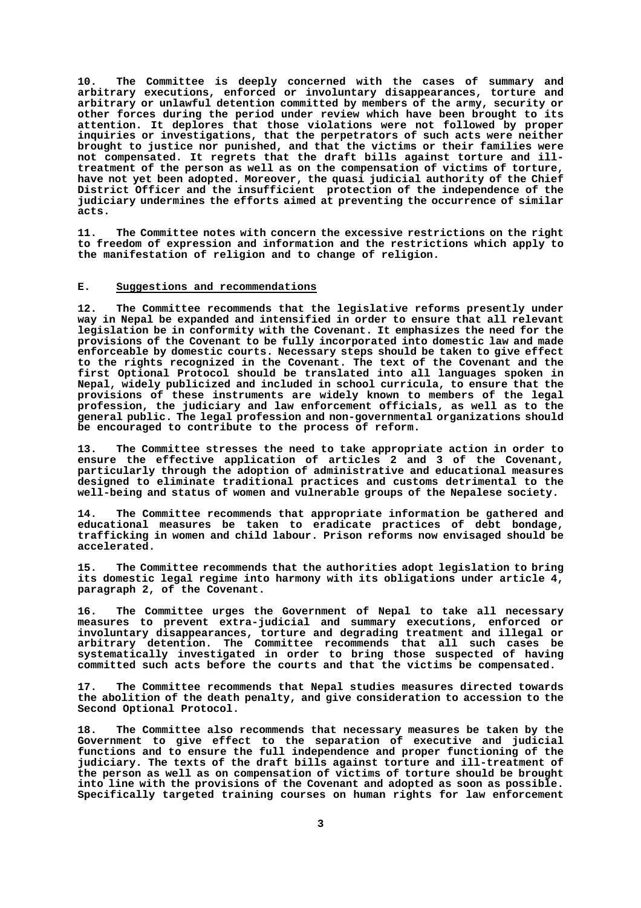**10. The Committee is deeply concerned with the cases of summary and arbitrary executions, enforced or involuntary disappearances, torture and arbitrary or unlawful detention committed by members of the army, security or other forces during the period under review which have been brought to its attention. It deplores that those violations were not followed by proper inquiries or investigations, that the perpetrators of such acts were neither brought to justice nor punished, and that the victims or their families were not compensated. It regrets that the draft bills against torture and illtreatment of the person as well as on the compensation of victims of torture, have not yet been adopted. Moreover, the quasi judicial authority of the Chief District Officer and the insufficient protection of the independence of the judiciary undermines the efforts aimed at preventing the occurrence of similar acts.**

**11. The Committee notes with concern the excessive restrictions on the right to freedom of expression and information and the restrictions which apply to the manifestation of religion and to change of religion.**

#### **E. Suggestions and recommendations**

**12. The Committee recommends that the legislative reforms presently under way in Nepal be expanded and intensified in order to ensure that all relevant legislation be in conformity with the Covenant. It emphasizes the need for the provisions of the Covenant to be fully incorporated into domestic law and made enforceable by domestic courts. Necessary steps should be taken to give effect to the rights recognized in the Covenant. The text of the Covenant and the first Optional Protocol should be translated into all languages spoken in Nepal, widely publicized and included in school curricula, to ensure that the provisions of these instruments are widely known to members of the legal profession, the judiciary and law enforcement officials, as well as to the general public. The legal profession and non-governmental organizations should be encouraged to contribute to the process of reform.**

**13. The Committee stresses the need to take appropriate action in order to ensure the effective application of articles 2 and 3 of the Covenant, particularly through the adoption of administrative and educational measures designed to eliminate traditional practices and customs detrimental to the well-being and status of women and vulnerable groups of the Nepalese society.**

**14. The Committee recommends that appropriate information be gathered and educational measures be taken to eradicate practices of debt bondage, trafficking in women and child labour. Prison reforms now envisaged should be accelerated.**

**15. The Committee recommends that the authorities adopt legislation to bring its domestic legal regime into harmony with its obligations under article 4, paragraph 2, of the Covenant.**

**16. The Committee urges the Government of Nepal to take all necessary measures to prevent extra-judicial and summary executions, enforced or involuntary disappearances, torture and degrading treatment and illegal or arbitrary detention. The Committee recommends that all such cases be systematically investigated in order to bring those suspected of having committed such acts before the courts and that the victims be compensated.**

**17. The Committee recommends that Nepal studies measures directed towards the abolition of the death penalty, and give consideration to accession to the Second Optional Protocol.**

**18. The Committee also recommends that necessary measures be taken by the Government to give effect to the separation of executive and judicial functions and to ensure the full independence and proper functioning of the judiciary. The texts of the draft bills against torture and ill-treatment of the person as well as on compensation of victims of torture should be brought into line with the provisions of the Covenant and adopted as soon as possible. Specifically targeted training courses on human rights for law enforcement**